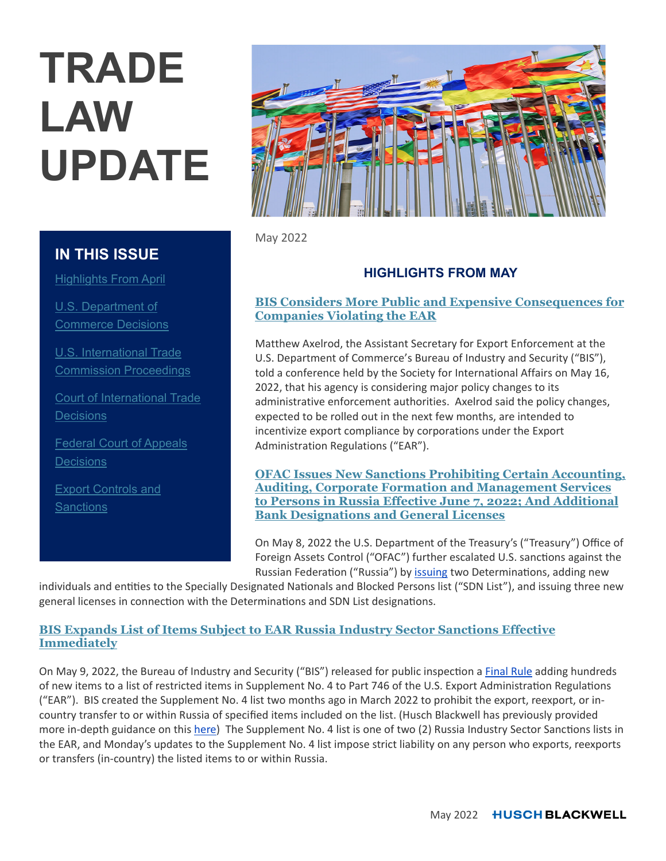# **TRADE LAW UPDATE**

# **IN THIS ISSUE**

**Highlights From April** 

U.S. Department of Commerce Decisions

U.S. International Trade Commission Proceedings

Court of International Trade **Decisions** 

Federal Court of Appeals **Decisions** 

**Export Controls and Sanctions** 



May 2022

# **HIGHLIGHTS FROM MAY**

## **BIS Considers More Public and Expensive Consequences for Companies Violating the EAR**

Matthew Axelrod, the Assistant Secretary for Export Enforcement at the U.S. Department of Commerce's Bureau of Industry and Security ("BIS"), told a conference held by the Society for International Affairs on May 16, 2022, that his agency is considering major policy changes to its administrative enforcement authorities. Axelrod said the policy changes, expected to be rolled out in the next few months, are intended to incentivize export compliance by corporations under the Export Administration Regulations ("EAR").

**OFAC Issues New Sanctions Prohibiting Certain Accounting, Auditing, Corporate Formation and Management Services to Persons in Russia Effective June 7, 2022; And Additional Bank Designations and General Licenses**

On May 8, 2022 the U.S. Department of the Treasury's ("Treasury") Office of Foreign Assets Control ("OFAC") further escalated U.S. sanctions against the Russian Federation ("Russia") by issuing two Determinations, adding new

individuals and entities to the Specially Designated Nationals and Blocked Persons list ("SDN List"), and issuing three new general licenses in connection with the Determinations and SDN List designations.

## **BIS Expands List of Items Subject to EAR Russia Industry Sector Sanctions Effective Immediately**

On May 9, 2022, the Bureau of Industry and Security ("BIS") released for public inspection a Final Rule adding hundreds of new items to a list of restricted items in Supplement No. 4 to Part 746 of the U.S. Export Administration Regulations ("EAR"). BIS created the Supplement No. 4 list two months ago in March 2022 to prohibit the export, reexport, or incountry transfer to or within Russia of specified items included on the list. (Husch Blackwell has previously provided more in-depth guidance on this here) The Supplement No. 4 list is one of two (2) Russia Industry Sector Sanctions lists in the EAR, and Monday's updates to the Supplement No. 4 list impose strict liability on any person who exports, reexports or transfers (in-country) the listed items to or within Russia.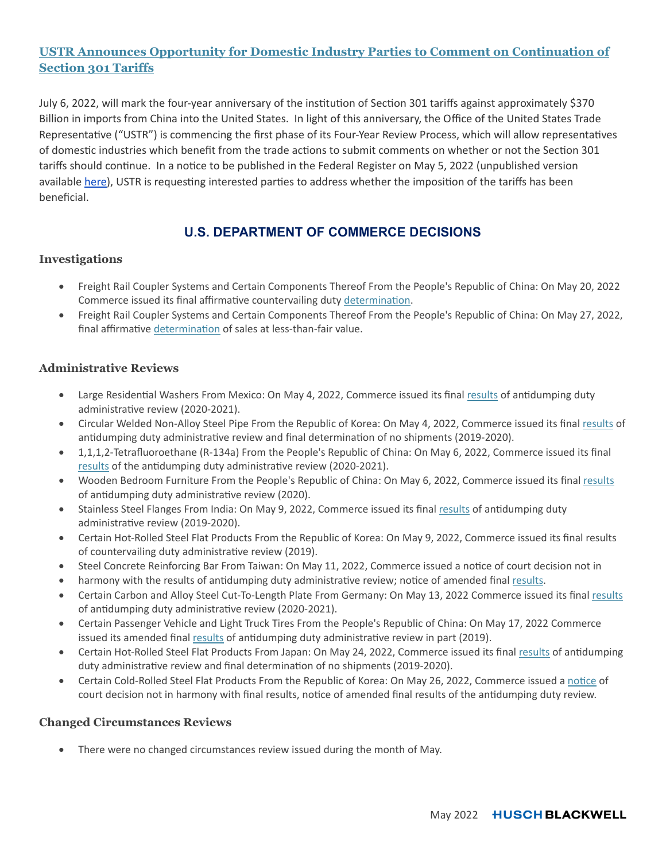## **USTR Announces Opportunity for Domestic Industry Parties to Comment on Continuation of Section 301 Tariffs**

July 6, 2022, will mark the four-year anniversary of the institution of Section 301 tariffs against approximately \$370 Billion in imports from China into the United States. In light of this anniversary, the Office of the United States Trade Representative ("USTR") is commencing the first phase of its Four-Year Review Process, which will allow representatives of domestic industries which benefit from the trade actions to submit comments on whether or not the Section 301 tariffs should continue. In a notice to be published in the Federal Register on May 5, 2022 (unpublished version available here), USTR is requesting interested parties to address whether the imposition of the tariffs has been beneficial.

## **U.S. DEPARTMENT OF COMMERCE DECISIONS**

## **Investigations**

- Freight Rail Coupler Systems and Certain Components Thereof From the People's Republic of China: On May 20, 2022 Commerce issued its final affirmative countervailing duty determination.
- Freight Rail Coupler Systems and Certain Components Thereof From the People's Republic of China: On May 27, 2022, final affirmative determination of sales at less-than-fair value.

## **Administrative Reviews**

- Large Residential Washers From Mexico: On May 4, 2022, Commerce issued its final results of antidumping duty administrative review (2020-2021).
- Circular Welded Non-Alloy Steel Pipe From the Republic of Korea: On May 4, 2022, Commerce issued its final results of antidumping duty administrative review and final determination of no shipments (2019-2020).
- 1,1,1,2-Tetrafluoroethane (R-134a) From the People's Republic of China: On May 6, 2022, Commerce issued its final results of the antidumping duty administrative review (2020-2021).
- Wooden Bedroom Furniture From the People's Republic of China: On May 6, 2022, Commerce issued its final results of antidumping duty administrative review (2020).
- Stainless Steel Flanges From India: On May 9, 2022, Commerce issued its final results of antidumping duty administrative review (2019-2020).
- Certain Hot-Rolled Steel Flat Products From the Republic of Korea: On May 9, 2022, Commerce issued its final results of countervailing duty administrative review (2019).
- Steel Concrete Reinforcing Bar From Taiwan: On May 11, 2022, Commerce issued a notice of court decision not in
- harmony with the results of antidumping duty administrative review; notice of amended final results.
- Certain Carbon and Alloy Steel Cut-To-Length Plate From Germany: On May 13, 2022 Commerce issued its final results of antidumping duty administrative review (2020-2021).
- Certain Passenger Vehicle and Light Truck Tires From the People's Republic of China: On May 17, 2022 Commerce issued its amended final results of antidumping duty administrative review in part (2019).
- Certain Hot-Rolled Steel Flat Products From Japan: On May 24, 2022, Commerce issued its final results of antidumping duty administrative review and final determination of no shipments (2019-2020).
- Certain Cold-Rolled Steel Flat Products From the Republic of Korea: On May 26, 2022, Commerce issued a notice of court decision not in harmony with final results, notice of amended final results of the antidumping duty review.

## **Changed Circumstances Reviews**

There were no changed circumstances review issued during the month of May.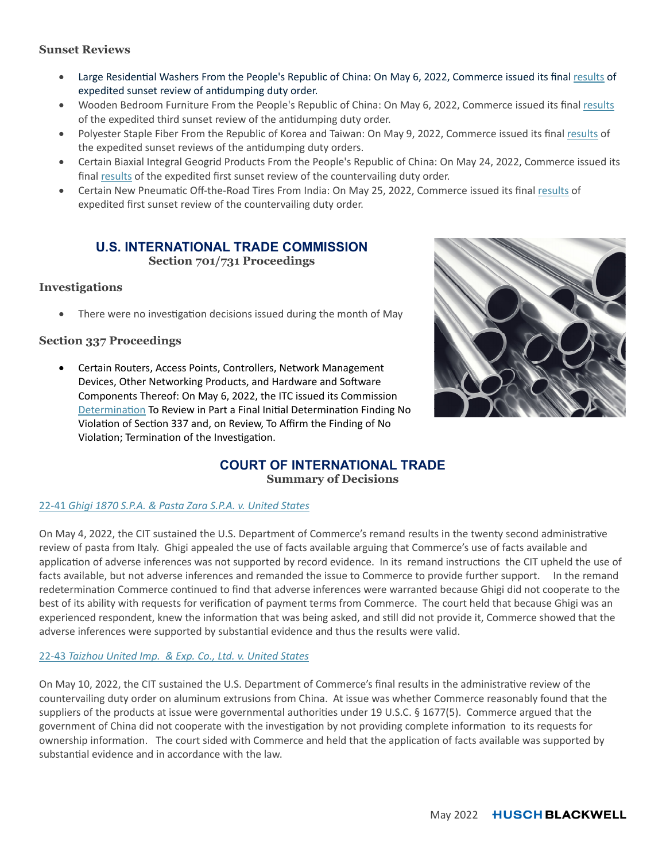## **Sunset Reviews**

- Large Residential Washers From the People's Republic of China: On May 6, 2022, Commerce issued its final results of expedited sunset review of antidumping duty order.
- Wooden Bedroom Furniture From the People's Republic of China: On May 6, 2022, Commerce issued its final results of the expedited third sunset review of the antidumping duty order.
- Polyester Staple Fiber From the Republic of Korea and Taiwan: On May 9, 2022, Commerce issued its final results of the expedited sunset reviews of the antidumping duty orders.
- Certain Biaxial Integral Geogrid Products From the People's Republic of China: On May 24, 2022, Commerce issued its final results of the expedited first sunset review of the countervailing duty order.
- Certain New Pneumatic Off-the-Road Tires From India: On May 25, 2022, Commerce issued its final results of expedited first sunset review of the countervailing duty order.

# **U.S. INTERNATIONAL TRADE COMMISSION**

**Section 701/731 Proceedings** 

## **Investigations**

There were no investigation decisions issued during the month of May

## **Section 337 Proceedings**

 Certain Routers, Access Points, Controllers, Network Management Devices, Other Networking Products, and Hardware and Software Components Thereof: On May 6, 2022, the ITC issued its Commission Determination To Review in Part a Final Initial Determination Finding No Violation of Section 337 and, on Review, To Affirm the Finding of No Violation; Termination of the Investigation.



# **COURT OF INTERNATIONAL TRADE**

**Summary of Decisions** 

## 22-41 *Ghigi 1870 S.P.A. & Pasta Zara S.P.A. v. United States*

On May 4, 2022, the CIT sustained the U.S. Department of Commerce's remand results in the twenty second administrative review of pasta from Italy. Ghigi appealed the use of facts available arguing that Commerce's use of facts available and application of adverse inferences was not supported by record evidence. In its remand instructions the CIT upheld the use of facts available, but not adverse inferences and remanded the issue to Commerce to provide further support. In the remand redetermination Commerce continued to find that adverse inferences were warranted because Ghigi did not cooperate to the best of its ability with requests for verification of payment terms from Commerce. The court held that because Ghigi was an experienced respondent, knew the information that was being asked, and still did not provide it, Commerce showed that the adverse inferences were supported by substantial evidence and thus the results were valid.

## 22-43 *Taizhou United Imp. & Exp. Co., Ltd. v. United States*

On May 10, 2022, the CIT sustained the U.S. Department of Commerce's final results in the administrative review of the countervailing duty order on aluminum extrusions from China. At issue was whether Commerce reasonably found that the suppliers of the products at issue were governmental authorities under 19 U.S.C. § 1677(5). Commerce argued that the government of China did not cooperate with the investigation by not providing complete information to its requests for ownership information. The court sided with Commerce and held that the application of facts available was supported by substantial evidence and in accordance with the law.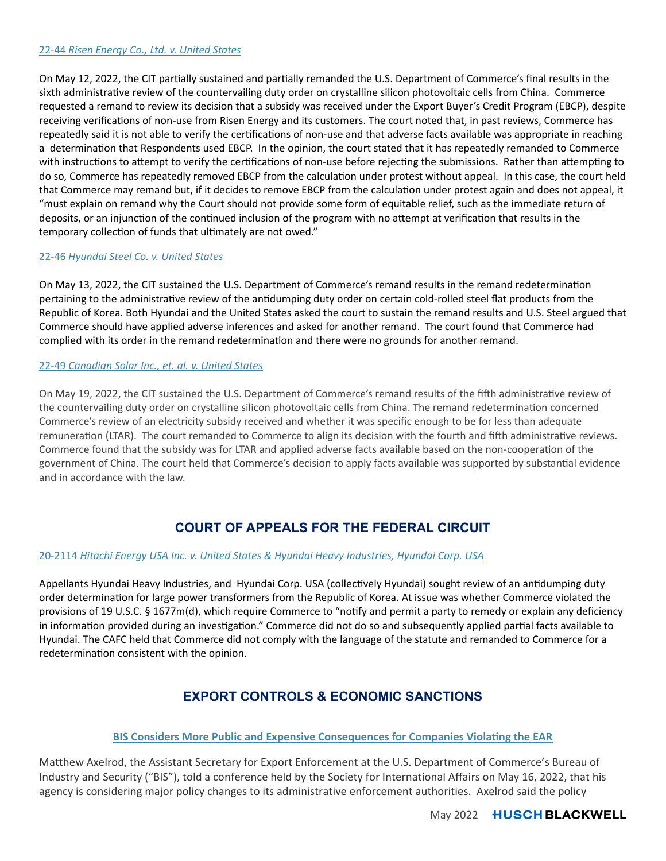#### 22-44 *Risen Energy Co., Ltd. v. United States*

On May 12, 2022, the CIT partially sustained and partially remanded the U.S. Department of Commerce's final results in the sixth administrative review of the countervailing duty order on crystalline silicon photovoltaic cells from China. Commerce requested a remand to review its decision that a subsidy was received under the Export Buyer's Credit Program (EBCP), despite receiving verifications of non-use from Risen Energy and its customers. The court noted that, in past reviews, Commerce has repeatedly said it is not able to verify the certifications of non-use and that adverse facts available was appropriate in reaching a determination that Respondents used EBCP. In the opinion, the court stated that it has repeatedly remanded to Commerce with instructions to attempt to verify the certifications of non-use before rejecting the submissions. Rather than attempting to do so, Commerce has repeatedly removed EBCP from the calculation under protest without appeal. In this case, the court held that Commerce may remand but, if it decides to remove EBCP from the calculation under protest again and does not appeal, it "must explain on remand why the Court should not provide some form of equitable relief, such as the immediate return of deposits, or an injunction of the continued inclusion of the program with no attempt at verification that results in the temporary collection of funds that ultimately are not owed."

#### 22-46 *Hyundai Steel Co. v. United States*

On May 13, 2022, the CIT sustained the U.S. Department of Commerce's remand results in the remand redetermination pertaining to the administrative review of the antidumping duty order on certain cold-rolled steel flat products from the Republic of Korea. Both Hyundai and the United States asked the court to sustain the remand results and U.S. Steel argued that Commerce should have applied adverse inferences and asked for another remand. The court found that Commerce had complied with its order in the remand redetermination and there were no grounds for another remand.

#### 22-49 *Canadian Solar Inc., et. al. v. United States*

On May 19, 2022, the CIT sustained the U.S. Department of Commerce's remand results of the fifth administrative review of the countervailing duty order on crystalline silicon photovoltaic cells from China. The remand redetermination concerned Commerce's review of an electricity subsidy received and whether it was specific enough to be for less than adequate remuneration (LTAR). The court remanded to Commerce to align its decision with the fourth and fifth administrative reviews. Commerce found that the subsidy was for LTAR and applied adverse facts available based on the non-cooperation of the government of China. The court held that Commerce's decision to apply facts available was supported by substantial evidence and in accordance with the law.

# **COURT OF APPEALS FOR THE FEDERAL CIRCUIT**

#### 20-2114 *Hitachi Energy USA Inc. v. United States & Hyundai Heavy Industries, Hyundai Corp. USA*

Appellants Hyundai Heavy Industries, and Hyundai Corp. USA (collectively Hyundai) sought review of an antidumping duty order determination for large power transformers from the Republic of Korea. At issue was whether Commerce violated the provisions of 19 U.S.C. § 1677m(d), which require Commerce to "notify and permit a party to remedy or explain any deficiency in information provided during an investigation." Commerce did not do so and subsequently applied partial facts available to Hyundai. The CAFC held that Commerce did not comply with the language of the statute and remanded to Commerce for a redetermination consistent with the opinion.

# **EXPORT CONTROLS & ECONOMIC SANCTIONS**

## **BIS Considers More Public and Expensive Consequences for Companies ViolaƟng the EAR**

Matthew Axelrod, the Assistant Secretary for Export Enforcement at the U.S. Department of Commerce's Bureau of Industry and Security ("BIS"), told a conference held by the Society for International Affairs on May 16, 2022, that his agency is considering major policy changes to its administrative enforcement authorities. Axelrod said the policy